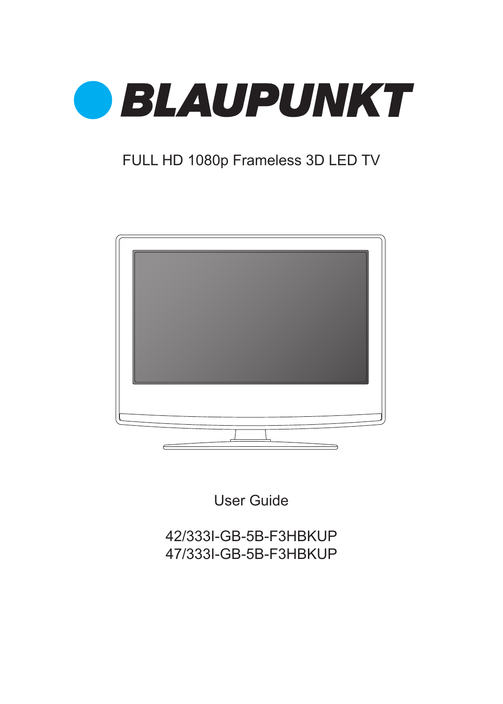

### FULL HD 1080p Frameless 3D LED TV



User Guide

42/333I-GB-5B-F3HBKUP 47/333I-GB-5B-F3HBKUP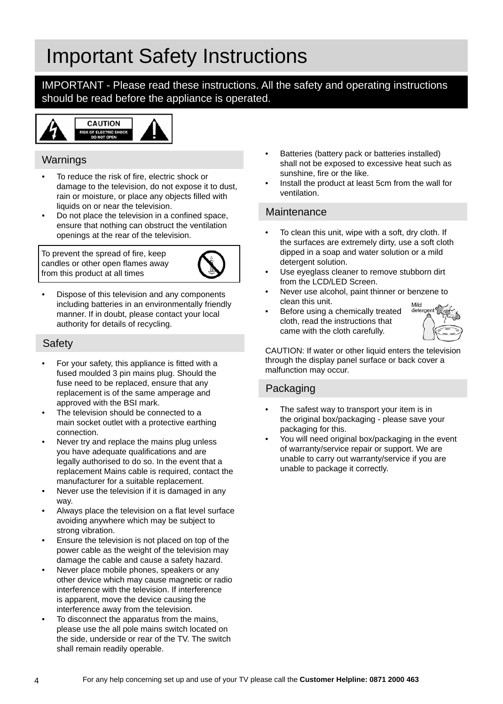## Important Safety Instructions

IMPORTANT - Please read these instructions. All the safety and operating instructions should be read before the appliance is operated.



### Warnings

- To reduce the risk of fire, electric shock or damage to the television, do not expose it to dust, rain or moisture, or place any objects filled with liquids on or near the television.
- Do not place the television in a confined space, ensure that nothing can obstruct the ventilation openings at the rear of the television.

To prevent the spread of fire, keep candles or other open flames away from this product at all times



• Dispose of this television and any components including batteries in an environmentally friendly manner. If in doubt, please contact your local authority for details of recycling.

### **Safety**

- For your safety, this appliance is fitted with a fused moulded 3 pin mains plug. Should the fuse need to be replaced, ensure that any replacement is of the same amperage and approved with the BSI mark.
- The television should be connected to a main socket outlet with a protective earthing connection.
- Never try and replace the mains plug unless you have adequate qualifications and are legally authorised to do so. In the event that a replacement Mains cable is required, contact the manufacturer for a suitable replacement.
- Never use the television if it is damaged in any way.
- Always place the television on a flat level surface avoiding anywhere which may be subject to strong vibration.
- Ensure the television is not placed on top of the power cable as the weight of the television may damage the cable and cause a safety hazard.
- Never place mobile phones, speakers or any other device which may cause magnetic or radio interference with the television. If interference is apparent, move the device causing the interference away from the television.
- To disconnect the apparatus from the mains, please use the all pole mains switch located on the side, underside or rear of the TV. The switch shall remain readily operable.
- Batteries (battery pack or batteries installed) shall not be exposed to excessive heat such as sunshine, fire or the like.
- Install the product at least 5cm from the wall for ventilation.

### **Maintenance**

- To clean this unit, wipe with a soft, dry cloth. If the surfaces are extremely dirty, use a soft cloth dipped in a soap and water solution or a mild detergent solution.
- Use eyeglass cleaner to remove stubborn dirt from the LCD/LED Screen.
- Never use alcohol, paint thinner or benzene to clean this unit.
- Before using a chemically treated cloth, read the instructions that came with the cloth carefully.



CAUTION: If water or other liquid enters the television through the display panel surface or back cover a malfunction may occur.

### Packaging

- The safest way to transport your item is in the original box/packaging - please save your packaging for this.
- You will need original box/packaging in the event of warranty/service repair or support. We are unable to carry out warranty/service if you are unable to package it correctly.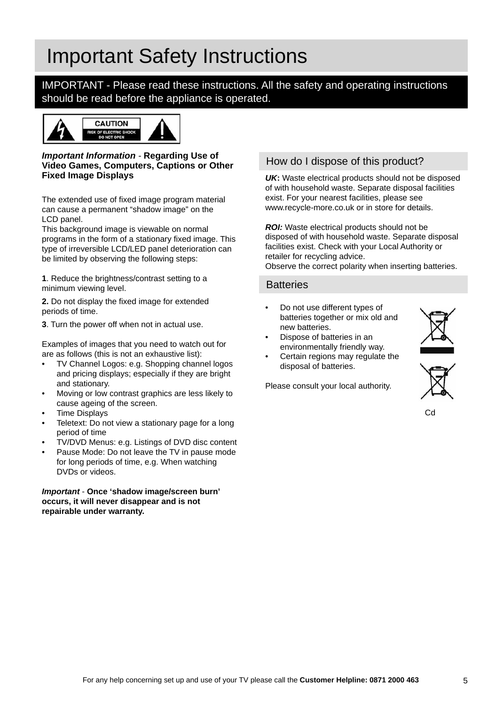## Important Safety Instructions

IMPORTANT - Please read these instructions. All the safety and operating instructions should be read before the appliance is operated.



#### *Important Information -* **Regarding Use of Video Games, Computers, Captions or Other Fixed Image Displays**

The extended use of fixed image program material can cause a permanent "shadow image" on the LCD panel.

This background image is viewable on normal programs in the form of a stationary fixed image. This type of irreversible LCD/LED panel deterioration can be limited by observing the following steps:

**1**. Reduce the brightness/contrast setting to a minimum viewing level.

**2.** Do not display the fixed image for extended periods of time.

**3**. Turn the power off when not in actual use.

Examples of images that you need to watch out for are as follows (this is not an exhaustive list):

- TV Channel Logos: e.g. Shopping channel logos and pricing displays; especially if they are bright and stationary.
- Moving or low contrast graphics are less likely to cause ageing of the screen.
- Time Displays
- Teletext: Do not view a stationary page for a long period of time
- TV/DVD Menus: e.g. Listings of DVD disc content
- Pause Mode: Do not leave the TV in pause mode for long periods of time, e.g. When watching DVDs or videos.

#### *Important* - **Once 'shadow image/screen burn' occurs, it will never disappear and is not repairable under warranty.**

### How do I dispose of this product?

*UK***:** Waste electrical products should not be disposed of with household waste. Separate disposal facilities exist. For your nearest facilities, please see www.recycle-more.co.uk or in store for details.

**ROI:** Waste electrical products should not be disposed of with household waste. Separate disposal facilities exist. Check with your Local Authority or retailer for recycling advice.

Observe the correct polarity when inserting batteries.

### **Batteries**

- Do not use different types of batteries together or mix old and new batteries.
- Dispose of batteries in an environmentally friendly way.
- Certain regions may regulate the disposal of batteries.

Please consult your local authority.



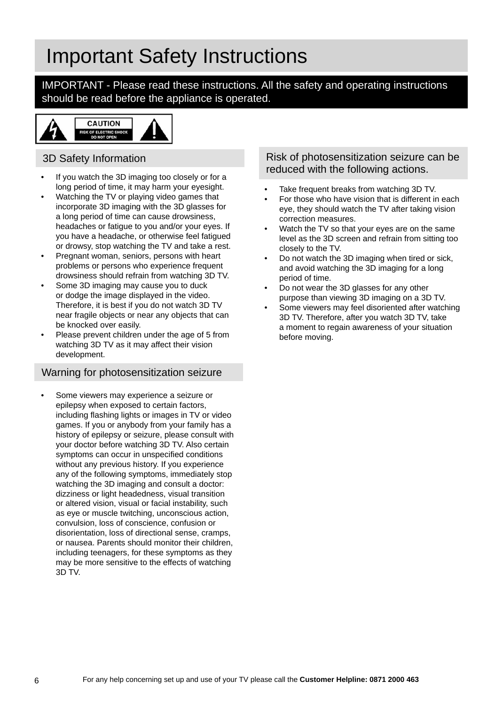### Important Safety Instructions

IMPORTANT - Please read these instructions. All the safety and operating instructions should be read before the appliance is operated.



### 3D Safety Information

- If you watch the 3D imaging too closely or for a long period of time, it may harm your eyesight.
- Watching the TV or playing video games that incorporate 3D imaging with the 3D glasses for a long period of time can cause drowsiness, headaches or fatigue to you and/or your eyes. If you have a headache, or otherwise feel fatigued or drowsy, stop watching the TV and take a rest.
- Pregnant woman, seniors, persons with heart problems or persons who experience frequent drowsiness should refrain from watching 3D TV.
- Some 3D imaging may cause you to duck or dodge the image displayed in the video. Therefore, it is best if you do not watch 3D TV near fragile objects or near any objects that can be knocked over easily.
- Please prevent children under the age of 5 from watching 3D TV as it may affect their vision development.

### Warning for photosensitization seizure

Some viewers may experience a seizure or epilepsy when exposed to certain factors, including flashing lights or images in TV or video games. If you or anybody from your family has a history of epilepsy or seizure, please consult with your doctor before watching 3D TV. Also certain symptoms can occur in unspecified conditions without any previous history. If you experience any of the following symptoms, immediately stop watching the 3D imaging and consult a doctor: dizziness or light headedness, visual transition or altered vision, visual or facial instability, such as eye or muscle twitching, unconscious action, convulsion, loss of conscience, confusion or disorientation, loss of directional sense, cramps, or nausea. Parents should monitor their children, including teenagers, for these symptoms as they may be more sensitive to the effects of watching 3D TV.

### Risk of photosensitization seizure can be reduced with the following actions.

- Take frequent breaks from watching 3D TV.
- For those who have vision that is different in each eye, they should watch the TV after taking vision correction measures.
- Watch the TV so that your eyes are on the same level as the 3D screen and refrain from sitting too closely to the TV.
- Do not watch the 3D imaging when tired or sick, and avoid watching the 3D imaging for a long period of time.
- Do not wear the 3D glasses for any other purpose than viewing 3D imaging on a 3D TV.
- Some viewers may feel disoriented after watching 3D TV. Therefore, after you watch 3D TV, take a moment to regain awareness of your situation before moving.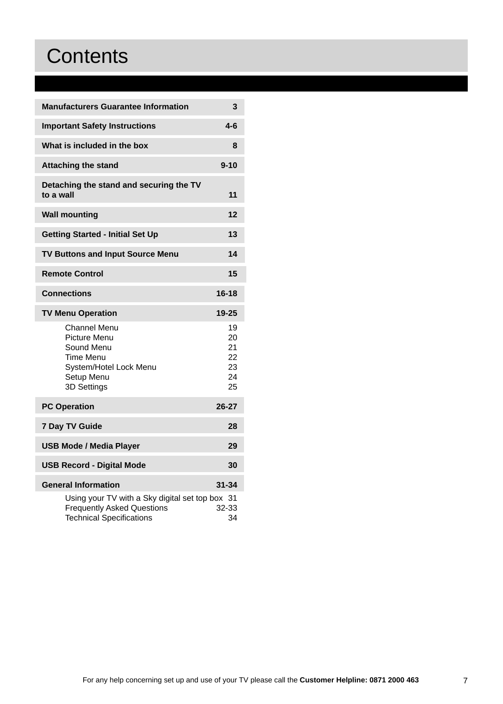## **Contents**

| <b>Manufacturers Guarantee Information</b>                                                                              | 3                                      |
|-------------------------------------------------------------------------------------------------------------------------|----------------------------------------|
| <b>Important Safety Instructions</b>                                                                                    | $4-6$                                  |
| What is included in the box                                                                                             | 8                                      |
| <b>Attaching the stand</b>                                                                                              | $9 - 10$                               |
| Detaching the stand and securing the TV<br>to a wall                                                                    | 11                                     |
| <b>Wall mounting</b>                                                                                                    | 12                                     |
| <b>Getting Started - Initial Set Up</b>                                                                                 | 13                                     |
| <b>TV Buttons and Input Source Menu</b>                                                                                 | 14                                     |
| <b>Remote Control</b>                                                                                                   | 15                                     |
| <b>Connections</b>                                                                                                      | 16-18                                  |
| <b>TV Menu Operation</b>                                                                                                | 19-25                                  |
| Channel Menu<br>Picture Menu<br>Sound Menu<br>Time Menu<br>System/Hotel Lock Menu<br>Setup Menu<br>3D Settings          | 19<br>20<br>21<br>22<br>23<br>24<br>25 |
| <b>PC Operation</b>                                                                                                     | $26 - 27$                              |
| 7 Day TV Guide                                                                                                          | 28                                     |
| <b>USB Mode / Media Player</b>                                                                                          | 29                                     |
| <b>USB Record - Digital Mode</b>                                                                                        | 30                                     |
| <b>General Information</b>                                                                                              | 31-34                                  |
| Using your TV with a Sky digital set top box 31<br><b>Frequently Asked Questions</b><br><b>Technical Specifications</b> | 32-33<br>34                            |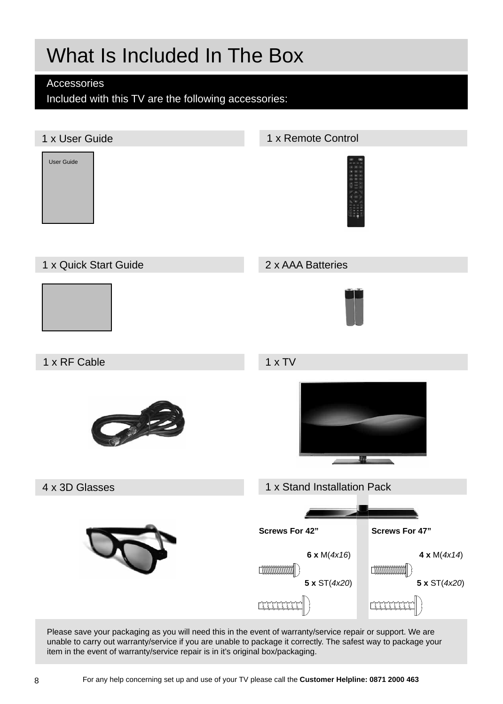## What Is Included In The Box

### Accessories

Included with this TV are the following accessories:

### 1 x User Guide



### 1 x Quick Start Guide 2 x AAA Batteries



1 x Remote Control





Please save your packaging as you will need this in the event of warranty/service repair or support. We are unable to carry out warranty/service if you are unable to package it correctly. The safest way to package your item in the event of warranty/service repair is in it's original box/packaging.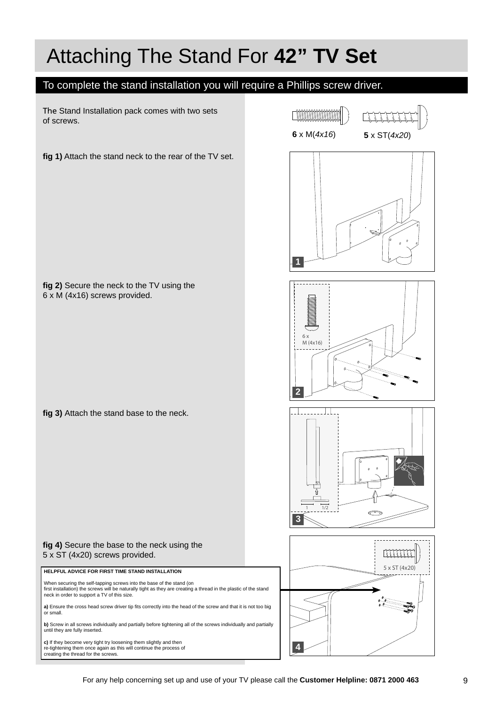## Attaching The Stand For **42" TV Set**

### To complete the stand installation you will require a Phillips screw driver.

The Stand Installation pack comes with two sets of screws.

**fi g 2)** Secure the neck to the TV using the

fig 3) Attach the stand base to the neck.

6 x M (4x16) screws provided.

fig 1) Attach the stand neck to the rear of the TV set.

 $\begin{tabular}{c} \multicolumn{1}{c} \textbf{0} & \multicolumn{1}{c} \textbf{0} & \multicolumn{1}{c} \textbf{0} & \multicolumn{1}{c} \textbf{0} & \multicolumn{1}{c} \textbf{0} & \multicolumn{1}{c} \textbf{0} & \multicolumn{1}{c} \textbf{0} & \multicolumn{1}{c} \textbf{0} & \multicolumn{1}{c} \textbf{0} & \multicolumn{1}{c} \textbf{0} & \multicolumn{1}{c} \textbf{0} & \multicolumn{1}{c} \textbf{0} & \multicolumn{1}{c} \textbf{0} & \multicolumn$ **6** x M(*4x16*) **5** x ST(*4x20*)







#### fig 4) Secure the base to the neck using the 5 x ST (4x20) screws provided.

**HELPFUL ADVICE FOR FIRST TIME STAND INSTALLATION**

When securing the self-tapping screws into the base of the stand (on<br>first installation) the screws will be naturally tight as they are creating a thread in the plastic of the stand<br>neck in order to support a TV of this si

a) Ensure the cross head screw driver tip fits correctly into the head of the screw and that it is not too big or small.

**b)** Screw in all screws individually and partially before tightening all of the screws individually and partially until they are fully inserted.

**c)** If they become very tight try loosening them slightly and then re-tightening them once again as this will continue the process of creating the thread for the screws.

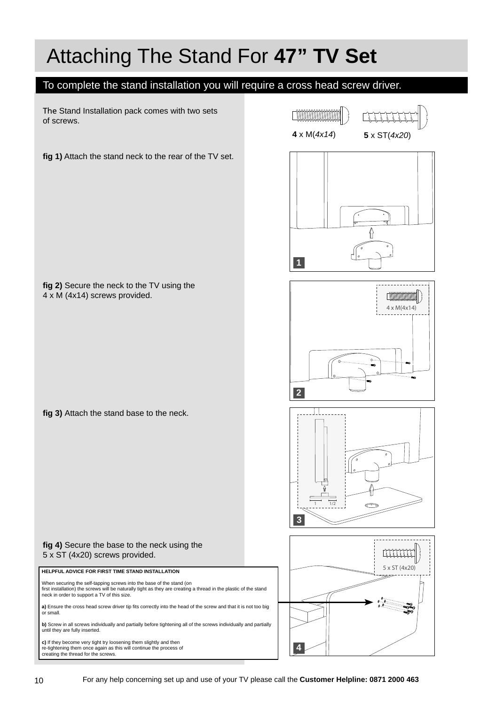## Attaching The Stand For **47" TV Set**

### To complete the stand installation you will require a cross head screw driver.

The Stand Installation pack comes with two sets of screws.

**fi g 2)** Secure the neck to the TV using the

fig 3) Attach the stand base to the neck.

4 x M (4x14) screws provided.

fig 1) Attach the stand neck to the rear of the TV set.



**CONTINUOS DE LA CONTINUO DE LA CONSTITUITA DE** 





fig 4) Secure the base to the neck using the 5 x ST (4x20) screws provided.

When securing the self-tapping screws into the base of the stand (on<br>first installation) the screws will be naturally tight as they are creating a thread in the plastic of the stand<br>neck in order to support a TV of this si **a)** Ensure the cross head screw driver tip fits correctly into the head of the screw and that it is not too big<br>or small.

**b)** Screw in all screws individually and partially before tightening all of the screws individually and partially until they are fully inserted.

**c)** If they become very tight try loosening them slightly and then re-tightening them once again as this will continue the process of creating the thread for the screws.

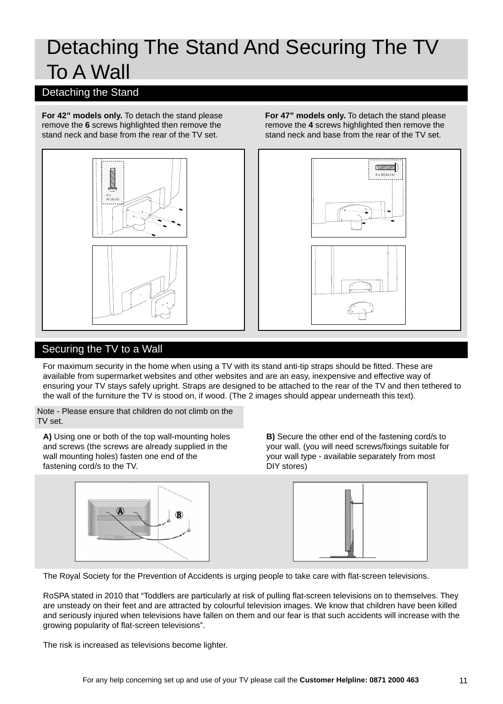### Detaching The Stand And Securing The TV To A Wall

### Detaching the Stand

**For 42" models only.** To detach the stand please remove the **6** screws highlighted then remove the stand neck and base from the rear of the TV set.



**For 47" models only.** To detach the stand please remove the **4** screws highlighted then remove the stand neck and base from the rear of the TV set.



### Securing the TV to a Wall

For maximum security in the home when using a TV with its stand anti-tip straps should be fitted. These are available from supermarket websites and other websites and are an easy, inexpensive and effective way of ensuring your TV stays safely upright. Straps are designed to be attached to the rear of the TV and then tethered to the wall of the furniture the TV is stood on, if wood. (The 2 images should appear underneath this text).

Note - Please ensure that children do not climb on the TV set.

**A)** Using one or both of the top wall-mounting holes and screws (the screws are already supplied in the wall mounting holes) fasten one end of the fastening cord/s to the TV.

**B)** Secure the other end of the fastening cord/s to your wall. (you will need screws/fixings suitable for your wall type - available separately from most DIY stores)





The Royal Society for the Prevention of Accidents is urging people to take care with flat-screen televisions.

RoSPA stated in 2010 that "Toddlers are particularly at risk of pulling flat-screen televisions on to themselves. They are unsteady on their feet and are attracted by colourful television images. We know that children have been killed and seriously injured when televisions have fallen on them and our fear is that such accidents will increase with the growing popularity of flat-screen televisions".

The risk is increased as televisions become lighter.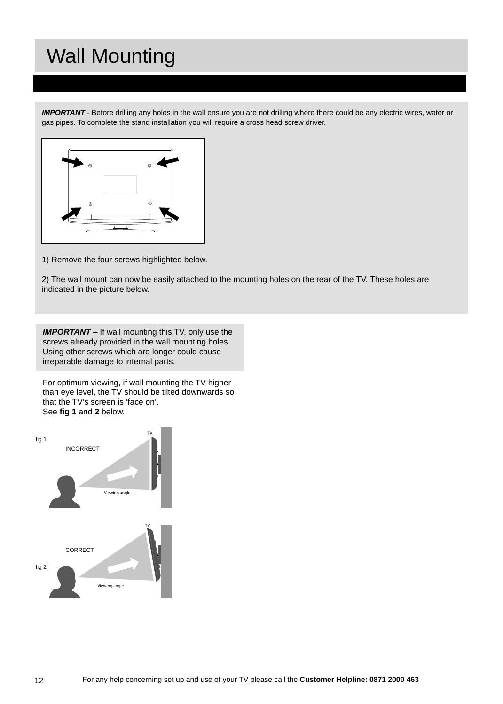## Wall Mounting

*IMPORTANT* - Before drilling any holes in the wall ensure you are not drilling where there could be any electric wires, water or gas pipes. To complete the stand installation you will require a cross head screw driver.



1) Remove the four screws highlighted below.

2) The wall mount can now be easily attached to the mounting holes on the rear of the TV. These holes are indicated in the picture below.

*IMPORTANT* – If wall mounting this TV, only use the screws already provided in the wall mounting holes. Using other screws which are longer could cause irreparable damage to internal parts.

For optimum viewing, if wall mounting the TV higher than eye level, the TV should be tilted downwards so that the TV's screen is 'face on'. See **fi g 1** and **2** below.

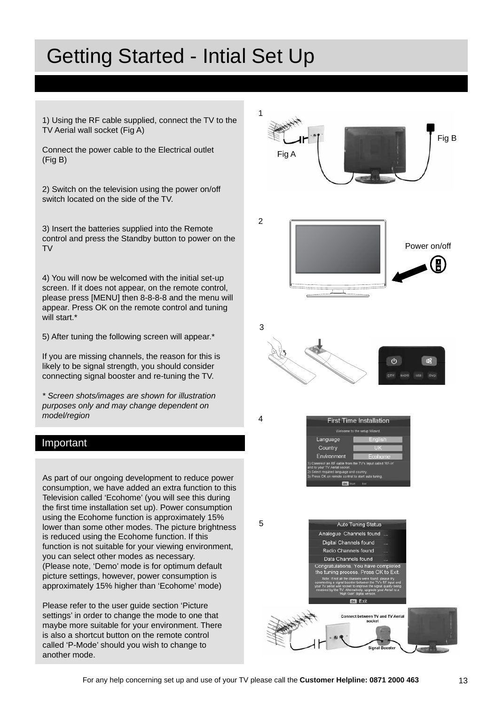## Getting Started - Intial Set Up

1) Using the RF cable supplied, connect the TV to the TV Aerial wall socket (Fig A)

Connect the power cable to the Electrical outlet (Fig B)

2) Switch on the television using the power on/off switch located on the side of the TV.

3) Insert the batteries supplied into the Remote control and press the Standby button to power on the TV

4) You will now be welcomed with the initial set-up screen. If it does not appear, on the remote control, please press [MENU] then 8-8-8-8 and the menu will appear. Press OK on the remote control and tuning will start.\*

5) After tuning the following screen will appear.\*

If you are missing channels, the reason for this is likely to be signal strength, you should consider connecting signal booster and re-tuning the TV.

*\* Screen shots/images are shown for illustration purposes only and may change dependent on model/region*

#### Important

As part of our ongoing development to reduce power consumption, we have added an extra function to this Television called 'Ecohome' (you will see this during the first time installation set up). Power consumption using the Ecohome function is approximately 15% lower than some other modes. The picture brightness is reduced using the Ecohome function. If this function is not suitable for your viewing environment, you can select other modes as necessary. (Please note, 'Demo' mode is for optimum default picture settings, however, power consumption is approximately 15% higher than 'Ecohome' mode)

Please refer to the user guide section 'Picture settings' in order to change the mode to one that maybe more suitable for your environment. There is also a shortcut button on the remote control called 'P-Mode' should you wish to change to another mode.

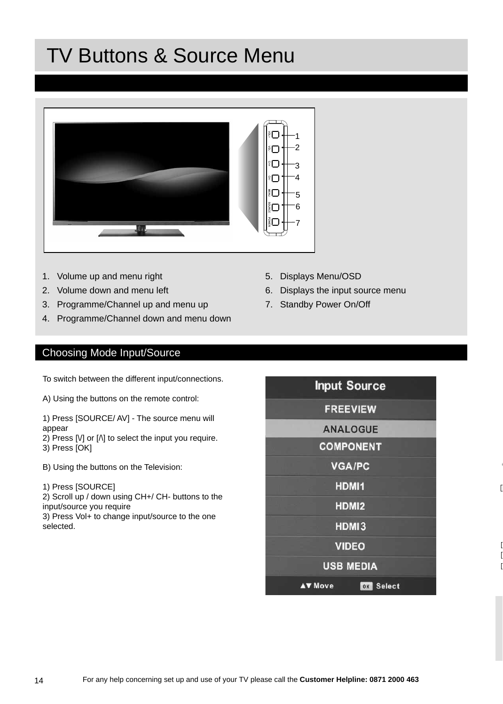## TV Buttons & Source Menu



- 1. Volume up and menu right
- 2. Volume down and menu left
- 3. Programme/Channel up and menu up
- 4. Programme/Channel down and menu down

### Choosing Mode Input/Source

To switch between the different input/connections.

A) Using the buttons on the remote control:

1) Press [SOURCE/ AV] - The source menu will appear

2) Press [V] or [ $\Lambda$ ] to select the input you require. 3) Press [OK]

B) Using the buttons on the Television:

1) Press [SOURCE]

2) Scroll up / down using CH+/ CH- buttons to the input/source you require

3) Press Vol+ to change input/source to the one selected.

- 5. Displays Menu/OSD
- 6. Displays the input source menu
- 7. Standby Power On/Off

| <b>Input Source</b>                   |
|---------------------------------------|
| <b>FREEVIEW</b>                       |
| <b>ANALOGUE</b>                       |
| <b>COMPONENT</b>                      |
| <b>VGA/PC</b>                         |
| HDMI1                                 |
| HDMI2                                 |
| HDMI3                                 |
| <b>VIDEO</b>                          |
| <b>USB MEDIA</b>                      |
| <b>AV Move</b><br><b>Select</b><br>OK |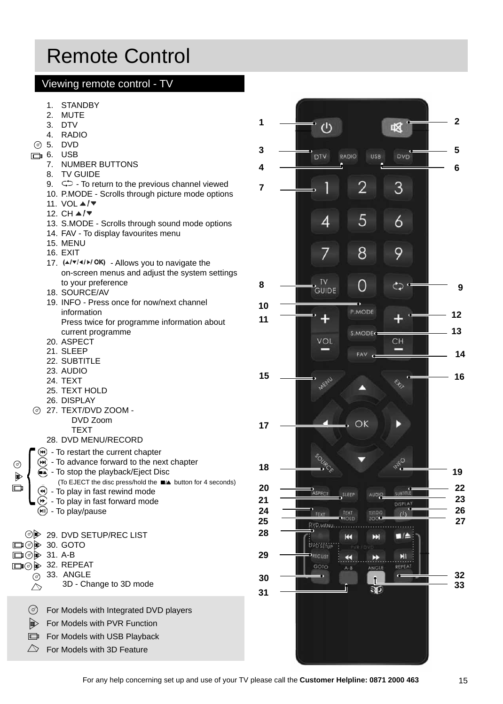## Remote Control

### Viewing remote control - TV

- 1. STANDBY
- 2. MUTE
- 3. DTV
- 4. RADIO
- 5. DVD
- $m = 6$ . USB
	- 7. NUMBER BUTTONS
	- 8. TV GUIDE
	- 9.  $\subset$   $\supset$  To return to the previous channel viewed
	- 10. P.MODE Scrolls through picture mode options
	- 11. VOL **▲/▼**
	- 12. CH  $\triangle$ /▼
	- 13. S.MODE Scrolls through sound mode options
	- 14. FAV To display favourites menu
	- 15. MENU
	- 16. EXIT
	- 17.  $(A/\triangleright I \triangleleft K)$  Allows you to navigate the on-screen menus and adjust the system settings to your preference
	- 18. SOURCE/AV
	- 19. INFO Press once for now/next channel information Press twice for programme information about
	- current programme 20. ASPECT
	- 21. SLEEP
	- 22. SUBTITLE
	- 23. AUDIO
	- 24. TEXT
	- 25. TEXT HOLD
	- 26. DISPLAY
- 27. TEXT/DVD ZOOM DVD Zoom
	- **TEXT**
	- 28. DVD MENU/RECORD
- $\left( \Theta \right)$  To restart the current chapter  $(M)$  - To advance forward to the next chapter
- $\bigcirc$  To stop the playback/Eject Disc
- (To EJECT the disc press/hold the  $\blacksquare$  $\blacktriangle$  button for 4 seconds)
- $\bigoplus$  To play in fast rewind mode
- $\left(\rightarrow\right)$  To play in fast forward mode (H) - To play/pause

29. DVD SETUP/REC LIST □ ⑦ 30. GOTO **□ ⊙ → 31. A-B** 

- **□⊙** 32. REPEAT
- 33. ANGLE

 $\circledcirc$  $\mathbb{D}$  $\Box$ 

> 3D - Change to 3D mode  $\triangle$

 $\circledcirc$ For Models with Integrated DVD players

- $\mathbb{D}$ For Models with PVR Function
- For Models with USB Playback  $\Box$
- $\triangle$  For Models with 3D Feature

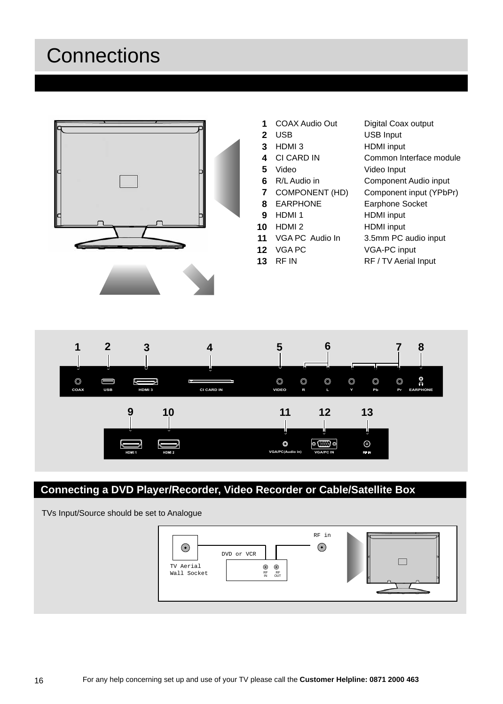## **Connections**





- COAX Audio Out Digital Coax output **1**
- **2**
- **3**
- **4**
- **5**
- **6** R/L Audio in
- **7**
- **8**
- **9**
- **10**
- **11**
- **12**
- **13**
- USB USB Input HDMI 3 HDMI input CI CARD IN Common Interface module Video Video Input **Component Audio input** COMPONENT (HD) Component input (YPbPr) EARPHONE Earphone Socket HDMI input HDMI input VGA PC Audio In 3.5mm PC audio input VGA-PC input





### **Connecting a DVD Player/Recorder, Video Recorder or Cable/Satellite Box**

TVs Input/Source should be set to Analogue

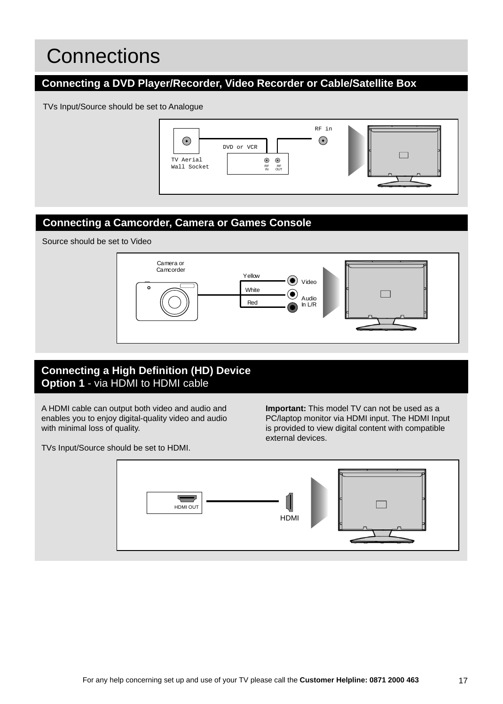## **Connections**

### **Connecting a DVD Player/Recorder, Video Recorder or Cable/Satellite Box**

TVs Input/Source should be set to Analogue



### **Connecting a Camcorder, Camera or Games Console**

Source should be set to Video



### **Connecting a High Definition (HD) Device Option 1** - via HDMI to HDMI cable

A HDMI cable can output both video and audio and enables you to enjoy digital-quality video and audio with minimal loss of quality.

TVs Input/Source should be set to HDMI.

**Important:** This model TV can not be used as a PC/laptop monitor via HDMI input. The HDMI Input is provided to view digital content with compatible external devices.

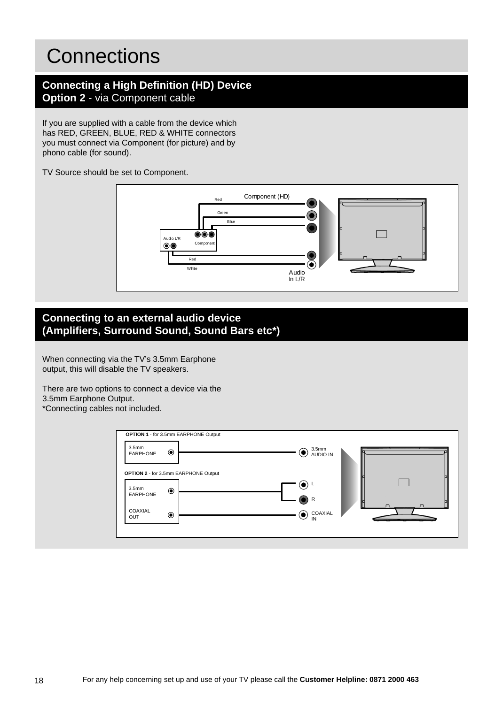### **Connections**

### **Connecting a High Definition (HD) Device Option 2** - via Component cable

If you are supplied with a cable from the device which has RED, GREEN, BLUE, RED & WHITE connectors you must connect via Component (for picture) and by phono cable (for sound).

TV Source should be set to Component.



### **Connecting to an external audio device (Amplifi ers, Surround Sound, Sound Bars etc\*)**

When connecting via the TV's 3.5mm Earphone output, this will disable the TV speakers.

There are two options to connect a device via the 3.5mm Earphone Output. \*Connecting cables not included.

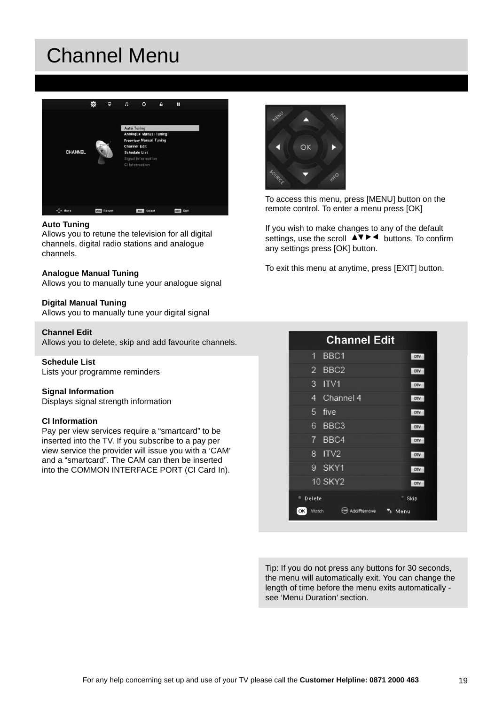## Channel Menu



#### **Auto Tuning**

Allows you to retune the television for all digital channels, digital radio stations and analogue channels.

#### **Analogue Manual Tuning**

Allows you to manually tune your analogue signal

#### **Digital Manual Tuning**

Allows you to manually tune your digital signal

#### **Channel Edit**

Allows you to delete, skip and add favourite channels.

#### **Schedule List**

Lists your programme reminders

#### **Signal Information**

Displays signal strength information

#### **CI Information**

Pay per view services require a "smartcard" to be inserted into the TV. If you subscribe to a pay per view service the provider will issue you with a 'CAM' and a "smartcard". The CAM can then be inserted into the COMMON INTERFACE PORT (CI Card In).



To access this menu, press [MENU] button on the remote control. To enter a menu press [OK]

If you wish to make changes to any of the default settings, use the scroll  $\triangle \blacktriangledown \blacktriangleright \blacktriangleleft$  buttons. To confirm any settings press [OK] button.

To exit this menu at anytime, press [EXIT] button.

|                     | <b>Channel Edit</b> |            |
|---------------------|---------------------|------------|
| 1.                  | BBC1                | <b>DTV</b> |
|                     | 2 BBC2              | <b>DTV</b> |
| 3                   | ITVI                | <b>DIV</b> |
| 4                   | Channel 4           | OTV        |
| 5.                  | five                | <b>DTV</b> |
| 6                   | BBC <sub>3</sub>    | <b>DIV</b> |
| 7                   | BBC4                | <b>DTV</b> |
| 8.                  | ITV <sub>2</sub>    | <b>DTV</b> |
|                     | 9 SKY1              | <b>DTV</b> |
|                     | 10 SKY2             | <b>DTV</b> |
| <sup>1</sup> Delete |                     | Skip       |
| OK<br>Watch         | Add/Remove          | Menu       |

Tip: If you do not press any buttons for 30 seconds, the menu will automatically exit. You can change the length of time before the menu exits automatically see 'Menu Duration' section.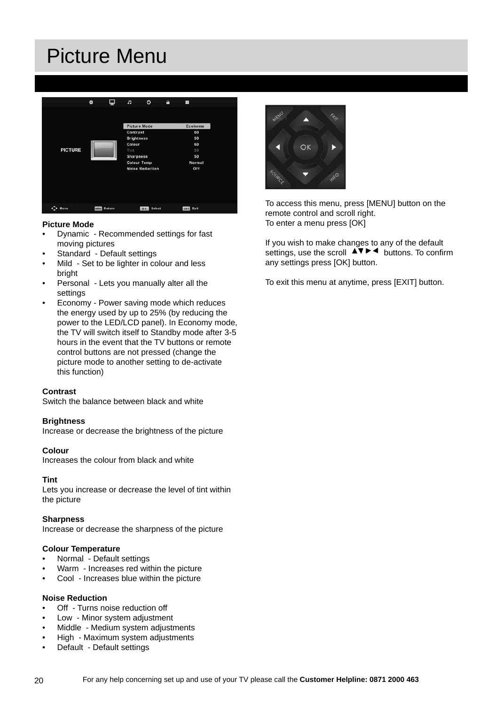## Picture Menu



#### **Picture Mode**

- Dynamic Recommended settings for fast moving pictures
- Standard Default settings
- Mild Set to be lighter in colour and less bright
- Personal Lets you manually alter all the settings
- Economy Power saving mode which reduces the energy used by up to 25% (by reducing the power to the LED/LCD panel). In Economy mode, the TV will switch itself to Standby mode after 3-5 hours in the event that the TV buttons or remote control buttons are not pressed (change the picture mode to another setting to de-activate this function)

#### **Contrast**

Switch the balance between black and white

#### **Brightness**

Increase or decrease the brightness of the picture

#### **Colour**

Increases the colour from black and white

#### **Tint**

Lets you increase or decrease the level of tint within the picture

#### **Sharpness**

Increase or decrease the sharpness of the picture

#### **Colour Temperature**

- Normal Default settings
- Warm Increases red within the picture
- Cool Increases blue within the picture

#### **Noise Reduction**

- Off Turns noise reduction off
- Low Minor system adjustment
- Middle Medium system adjustments
- High Maximum system adjustments
- Default Default settings



To access this menu, press [MENU] button on the remote control and scroll right. To enter a menu press [OK]

If you wish to make changes to any of the default settings, use the scroll  $\Delta \nabla \blacktriangleright$   $\blacktriangleleft$  buttons. To confirm any settings press [OK] button.

To exit this menu at anytime, press [EXIT] button.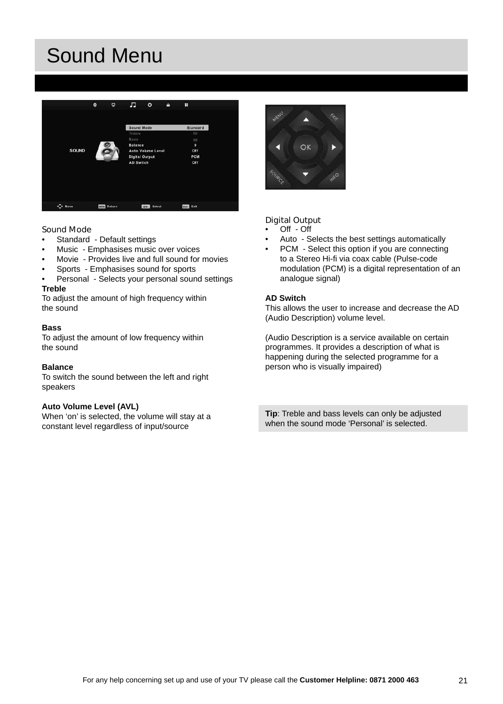## Sound Menu



#### **Sound Mode**

- Standard Default settings
- Music Emphasises music over voices
- Movie Provides live and full sound for movies
- Sports Emphasises sound for sports
- Personal Selects your personal sound settings

#### **Treble**

To adjust the amount of high frequency within the sound

#### **Bass**

To adjust the amount of low frequency within the sound

#### **Balance**

To switch the sound between the left and right speakers

#### **Auto Volume Level (AVL)**

When 'on' is selected, the volume will stay at a constant level regardless of input/source



#### **Digital Output**

- Off Off
- Auto Selects the best settings automatically
- PCM Select this option if you are connecting to a Stereo Hi-fi via coax cable (Pulse-code modulation (PCM) is a digital representation of an analogue signal)

#### **AD Switch**

This allows the user to increase and decrease the AD (Audio Description) volume level.

(Audio Description is a service available on certain programmes. It provides a description of what is happening during the selected programme for a person who is visually impaired)

**Tip**: Treble and bass levels can only be adjusted when the sound mode 'Personal' is selected.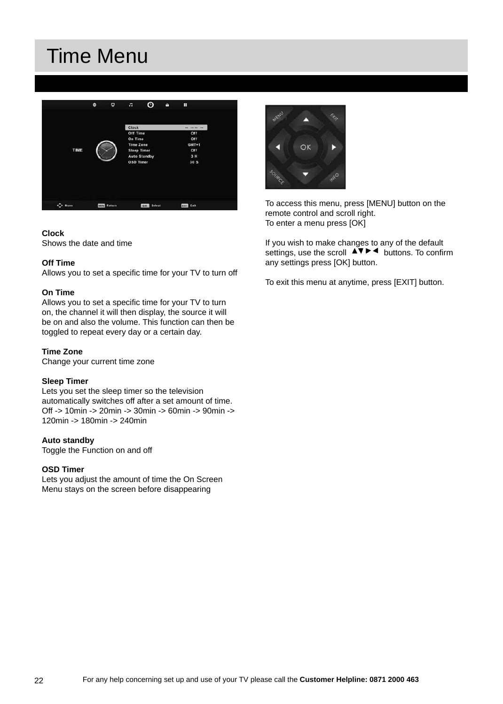## Time Menu



#### **Clock**

Shows the date and time

#### **Off Time**

Allows you to set a specific time for your TV to turn off

#### **On Time**

Allows you to set a specific time for your TV to turn on, the channel it will then display, the source it will be on and also the volume. This function can then be toggled to repeat every day or a certain day.

#### **Time Zone**

Change your current time zone

#### **Sleep Timer**

Lets you set the sleep timer so the television automatically switches off after a set amount of time. Off -> 10min -> 20min -> 30min -> 60min -> 90min -> 120min -> 180min -> 240min

#### **Auto standby**

Toggle the Function on and off

#### **OSD Timer**

Lets you adjust the amount of time the On Screen Menu stays on the screen before disappearing



To access this menu, press [MENU] button on the remote control and scroll right. To enter a menu press [OK]

If you wish to make changes to any of the default settings, use the scroll  $\Delta \nabla \blacktriangleright$   $\blacktriangleleft$  buttons. To confirm any settings press [OK] button.

To exit this menu at anytime, press [EXIT] button.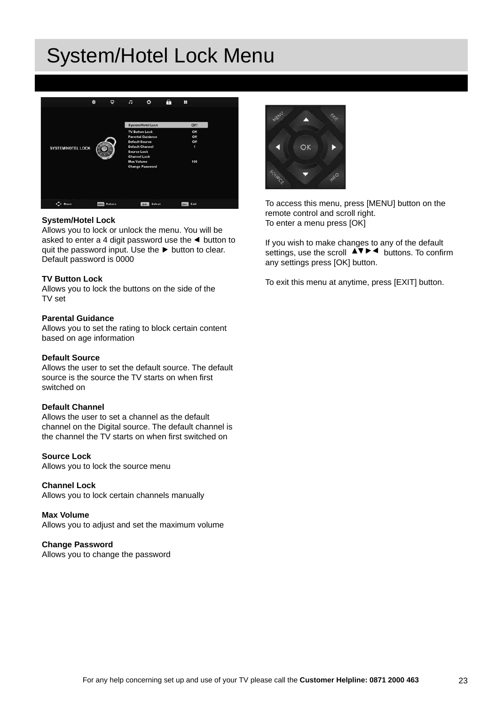## System/Hotel Lock Menu



#### **System/Hotel Lock**

Allows you to lock or unlock the menu. You will be asked to enter a 4 digit password use the  $\triangleleft$  button to quit the password input. Use the  $\blacktriangleright$  button to clear. Default password is 0000

#### **TV Button Lock**

Allows you to lock the buttons on the side of the TV set

#### **Parental Guidance**

Allows you to set the rating to block certain content based on age information

#### **Default Source**

Allows the user to set the default source. The default source is the source the TV starts on when first switched on

#### **Default Channel**

Allows the user to set a channel as the default channel on the Digital source. The default channel is the channel the TV starts on when first switched on

#### **Source Lock**

Allows you to lock the source menu

#### **Channel Lock**

Allows you to lock certain channels manually

#### **Max Volume**

Allows you to adjust and set the maximum volume

#### **Change Password**

Allows you to change the password



To access this menu, press [MENU] button on the remote control and scroll right. To enter a menu press [OK]

If you wish to make changes to any of the default settings, use the scroll  $\Box \bullet \bullet \bullet$  buttons. To confirm any settings press [OK] button.

To exit this menu at anytime, press [EXIT] button.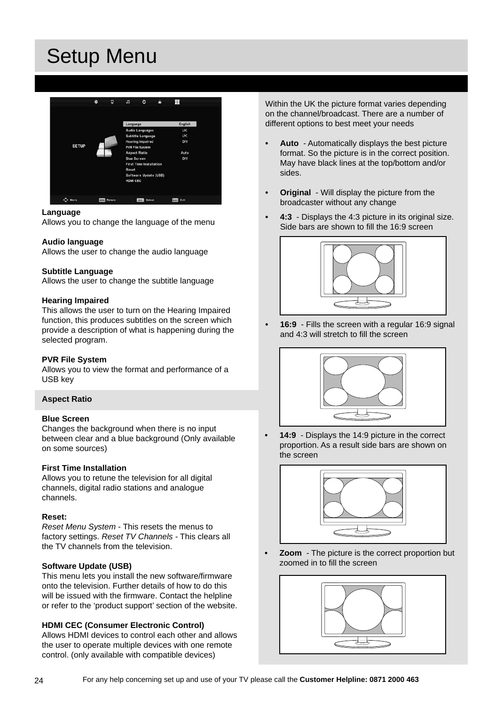## Setup Menu



#### **Language**

Allows you to change the language of the menu

#### **Audio language**

Allows the user to change the audio language

#### **Subtitle Language**

Allows the user to change the subtitle language

#### **Hearing Impaired**

This allows the user to turn on the Hearing Impaired function, this produces subtitles on the screen which provide a description of what is happening during the selected program.

#### **PVR File System**

Allows you to view the format and performance of a USB key

#### **Aspect Ratio**

#### **Blue Screen**

Changes the background when there is no input between clear and a blue background (Only available on some sources)

#### **First Time Installation**

Allows you to retune the television for all digital channels, digital radio stations and analogue channels.

#### **Reset:**

*Reset Menu System* - This resets the menus to factory settings. *Reset TV Channels -* This clears all the TV channels from the television.

#### **Software Update (USB)**

This menu lets you install the new software/firmware onto the television. Further details of how to do this will be issued with the firmware. Contact the helpline or refer to the 'product support' section of the website.

#### **HDMI CEC (Consumer Electronic Control)**

Allows HDMI devices to control each other and allows the user to operate multiple devices with one remote control. (only available with compatible devices)

Within the UK the picture format varies depending on the channel/broadcast. There are a number of different options to best meet your needs

- **Auto**  Automatically displays the best picture format. So the picture is in the correct position. May have black lines at the top/bottom and/or sides.
- **Original**  Will display the picture from the broadcaster without any change
- **4:3**  Displays the 4:3 picture in its original size. Side bars are shown to fill the  $16:9$  screen



**• 16:9** - Fills the screen with a regular 16:9 signal and 4:3 will stretch to fill the screen



**• 14:9** - Displays the 14:9 picture in the correct proportion. As a result side bars are shown on the screen



**• Zoom** - The picture is the correct proportion but zoomed in to fill the screen

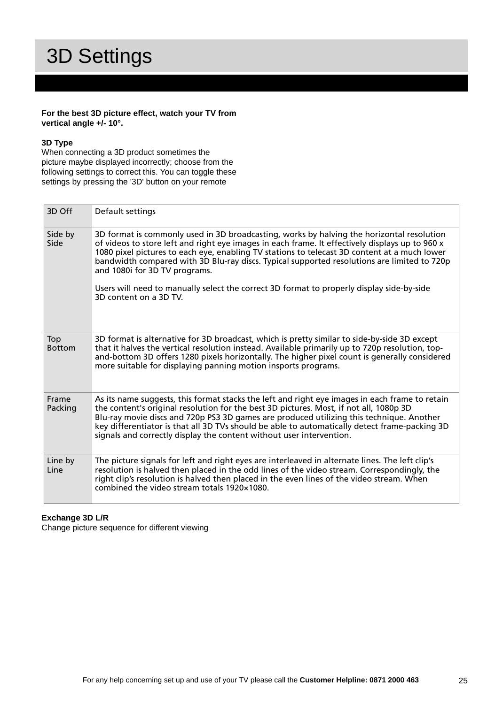## 3D Settings

#### **For the best 3D picture effect, watch your TV from vertical angle +/- 10°.**

#### **3D Type**

When connecting a 3D product sometimes the picture maybe displayed incorrectly; choose from the following settings to correct this. You can toggle these settings by pressing the '3D' button on your remote

| 3D Off               | Default settings                                                                                                                                                                                                                                                                                                                                                                                                                                                                                                                                    |
|----------------------|-----------------------------------------------------------------------------------------------------------------------------------------------------------------------------------------------------------------------------------------------------------------------------------------------------------------------------------------------------------------------------------------------------------------------------------------------------------------------------------------------------------------------------------------------------|
| Side by<br>Side      | 3D format is commonly used in 3D broadcasting, works by halving the horizontal resolution<br>of videos to store left and right eye images in each frame. It effectively displays up to 960 x<br>1080 pixel pictures to each eye, enabling TV stations to telecast 3D content at a much lower<br>bandwidth compared with 3D Blu-ray discs. Typical supported resolutions are limited to 720p<br>and 1080i for 3D TV programs.<br>Users will need to manually select the correct 3D format to properly display side-by-side<br>3D content on a 3D TV. |
| Top<br><b>Bottom</b> | 3D format is alternative for 3D broadcast, which is pretty similar to side-by-side 3D except<br>that it halves the vertical resolution instead. Available primarily up to 720p resolution, top-<br>and-bottom 3D offers 1280 pixels horizontally. The higher pixel count is generally considered<br>more suitable for displaying panning motion insports programs.                                                                                                                                                                                  |
| Frame<br>Packing     | As its name suggests, this format stacks the left and right eye images in each frame to retain<br>the content's original resolution for the best 3D pictures. Most, if not all, 1080p 3D<br>Blu-ray movie discs and 720p PS3 3D games are produced utilizing this technique. Another<br>key differentiator is that all 3D TVs should be able to automatically detect frame-packing 3D<br>signals and correctly display the content without user intervention.                                                                                       |
| Line by<br>Line      | The picture signals for left and right eyes are interleaved in alternate lines. The left clip's<br>resolution is halved then placed in the odd lines of the video stream. Correspondingly, the<br>right clip's resolution is halved then placed in the even lines of the video stream. When<br>combined the video stream totals 1920×1080.                                                                                                                                                                                                          |

#### **Exchange 3D L/R**

Change picture sequence for different viewing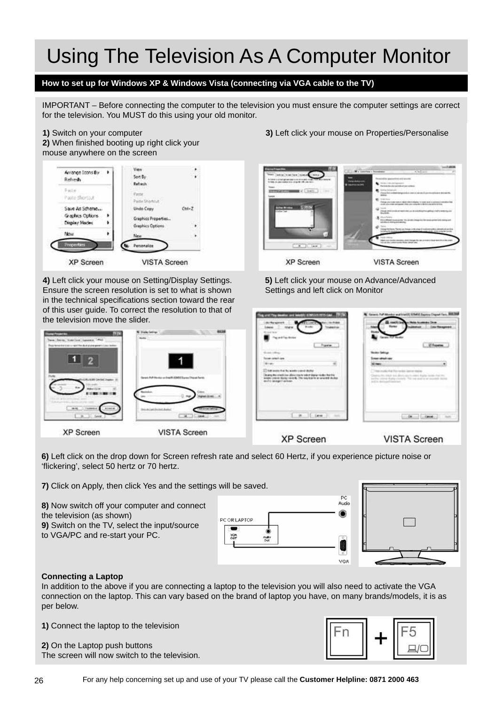## Using The Television As A Computer Monitor

### **How to set up for Windows XP & Windows Vista (connecting via VGA cable to the TV)**

IMPORTANT – Before connecting the computer to the television you must ensure the computer settings are correct for the television. You MUST do this using your old monitor.

#### **1)** Switch on your computer

**2)** When finished booting up right click your mouse anywhere on the screen



**4)** Left click your mouse on Setting/Display Settings. Ensure the screen resolution is set to what is shown in the technical specifications section toward the rear of this user guide. To correct the resolution to that of the television move the slider.



**XP Screen** 

**VISTA Screen** 



**XP Screen** 

**VISTA Screen** 

**6)** Left click on the drop down for Screen refresh rate and select 60 Hertz, if you experience picture noise or 'flickering', select 50 hertz or 70 hertz.

**7)** Click on Apply, then click Yes and the settings will be saved.

**8)** Now switch off your computer and connect the television (as shown) **9)** Switch on the TV, select the input/source to VGA/PC and re-start your PC.





#### **Connecting a Laptop**

In addition to the above if you are connecting a laptop to the television you will also need to activate the VGA connection on the laptop. This can vary based on the brand of laptop you have, on many brands/models, it is as per below.

**1)** Connect the laptop to the television

**2)** On the Laptop push buttons The screen will now switch to the television.





**3)** Left click your mouse on Properties/Personalise

**5)** Left click your mouse on Advance/Advanced Settings and left click on Monitor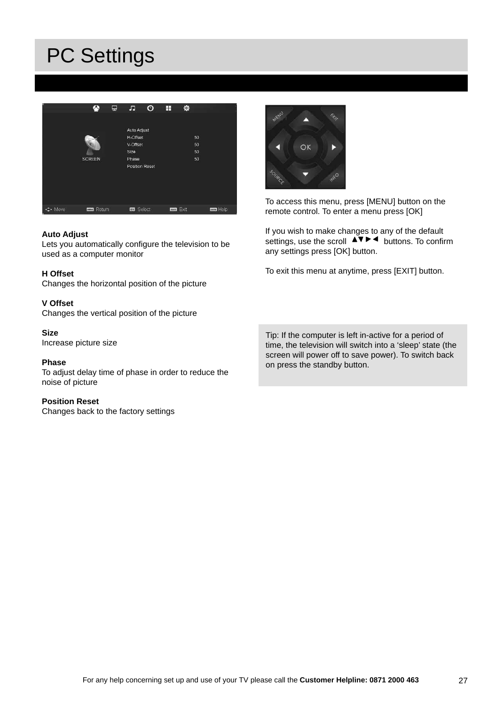## PC Settings



#### **Auto Adjust**

Lets you automatically configure the television to be used as a computer monitor

#### **H Offset**

Changes the horizontal position of the picture

#### **V Offset**

Changes the vertical position of the picture

**Size**

Increase picture size

#### **Phase**

To adjust delay time of phase in order to reduce the noise of picture

#### **Position Reset**

Changes back to the factory settings



To access this menu, press [MENU] button on the remote control. To enter a menu press [OK]

If you wish to make changes to any of the default settings, use the scroll  $\overrightarrow{AP}$   $\overrightarrow{b}$  buttons. To confirm any settings press [OK] button.

To exit this menu at anytime, press [EXIT] button.

Tip: If the computer is left in-active for a period of time, the television will switch into a 'sleep' state (the screen will power off to save power). To switch back on press the standby button.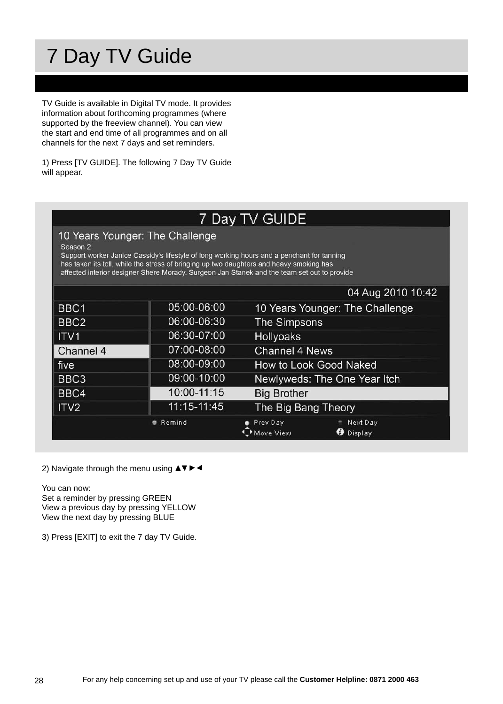## 7 Day TV Guide

TV Guide is available in Digital TV mode. It provides information about forthcoming programmes (where supported by the freeview channel). You can view the start and end time of all programmes and on all channels for the next 7 days and set reminders.

1) Press [TV GUIDE]. The following 7 Day TV Guide will appear.

### 7 Day TV GUIDE

10 Years Younger: The Challenge

Season 2

Support worker Janice Cassidy's lifestyle of long working hours and a penchant for tanning has taken its toll, while the stress of bringing up two daughters and heavy smoking has affected interior designer Shere Morady. Surgeon Jan Stanek and the team set out to provide

|                  |               | 04 Aug 2010 10:42                                     |  |
|------------------|---------------|-------------------------------------------------------|--|
| $ $ BBC1         | 05:00-06:00   | 10 Years Younger: The Challenge                       |  |
| BBC2             | 06:00-06:30   | The Simpsons                                          |  |
| $  $ ITV1        | 06:30-07:00   | <b>Hollyoaks</b>                                      |  |
| Channel 4        | 07:00-08:00   | <b>Channel 4 News</b>                                 |  |
| five             | 08:00-09:00   | How to Look Good Naked                                |  |
| BBC3             | 09:00-10:00   | Newlyweds: The One Year Itch                          |  |
| $ $ BBC4         | 10:00-11:15   | <b>Big Brother</b>                                    |  |
| $\parallel$ ITV2 | 11:15-11:45   | The Big Bang Theory                                   |  |
|                  | <b>Remind</b> | Next Day<br>Prev Day<br><b>O</b> Display<br>Move View |  |

2) Navigate through the menu using  $\triangle \blacktriangledown \blacktriangleright \blacktriangleleft$ 

You can now:

Set a reminder by pressing GREEN View a previous day by pressing YELLOW View the next day by pressing BLUE

3) Press [EXIT] to exit the 7 day TV Guide.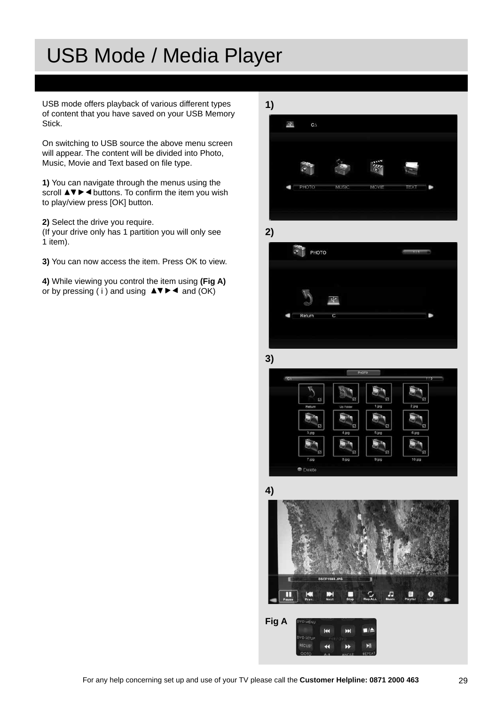## USB Mode / Media Player

USB mode offers playback of various different types of content that you have saved on your USB Memory Stick.

On switching to USB source the above menu screen will appear. The content will be divided into Photo, Music, Movie and Text based on file type.

**1)** You can navigate through the menus using the scroll  $\triangle \triangledown \triangleright \triangleleft$  buttons. To confirm the item you wish to play/view press [OK] button.

**2)** Select the drive you require.

(If your drive only has 1 partition you will only see 1 item).

**3)** You can now access the item. Press OK to view.

**4)** While viewing you control the item using **(Fig A)** or by pressing (i) and using  $\triangle \blacktriangledown \blacktriangleright \blacktriangleleft$  and (OK)











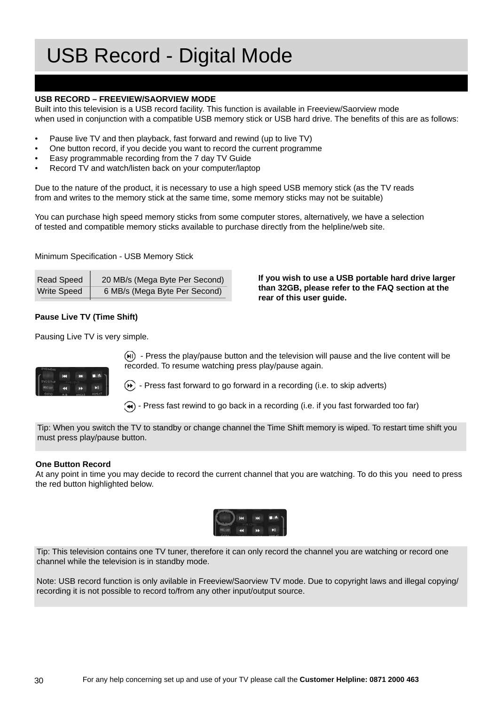## USB Record - Digital Mode

#### **USB RECORD – FREEVIEW/SAORVIEW MODE**

Built into this television is a USB record facility. This function is available in Freeview/Saorview mode when used in conjunction with a compatible USB memory stick or USB hard drive. The benefits of this are as follows:

- Pause live TV and then playback, fast forward and rewind (up to live TV)
- One button record, if you decide you want to record the current programme
- Easy programmable recording from the 7 day TV Guide
- Record TV and watch/listen back on your computer/laptop

Due to the nature of the product, it is necessary to use a high speed USB memory stick (as the TV reads from and writes to the memory stick at the same time, some memory sticks may not be suitable)

You can purchase high speed memory sticks from some computer stores, alternatively, we have a selection of tested and compatible memory sticks available to purchase directly from the helpline/web site.

Minimum Specification - USB Memory Stick

| <b>Read Speed</b>  | 20 MB/s (Mega Byte Per Second) |
|--------------------|--------------------------------|
| <b>Write Speed</b> | 6 MB/s (Mega Byte Per Second)  |

#### **Pause Live TV (Time Shift)**

Pausing Live TV is very simple.



 $(m)$  - Press the play/pause button and the television will pause and the live content will be recorded. To resume watching press play/pause again.

**rear of this user guide.**

**If you wish to use a USB portable hard drive larger than 32GB, please refer to the FAQ section at the** 

 $(\rightarrow)$  - Press fast forward to go forward in a recording (i.e. to skip adverts)

 $\left(\rightarrow\right)$  - Press fast rewind to go back in a recording (i.e. if you fast forwarded too far)

Tip: When you switch the TV to standby or change channel the Time Shift memory is wiped. To restart time shift you must press play/pause button.

#### **One Button Record**

At any point in time you may decide to record the current channel that you are watching. To do this you need to press the red button highlighted below.



Tip: This television contains one TV tuner, therefore it can only record the channel you are watching or record one channel while the television is in standby mode.

Note: USB record function is only avilable in Freeview/Saorview TV mode. Due to copyright laws and illegal copying/ recording it is not possible to record to/from any other input/output source.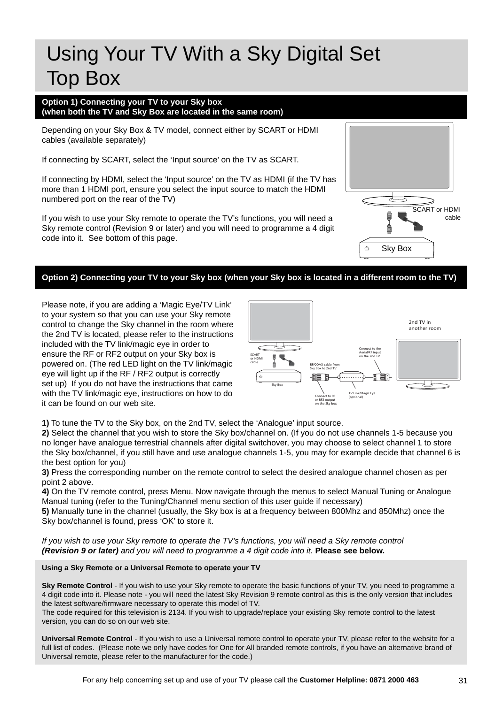## Using Your TV With a Sky Digital Set Top Box

#### **Option 1) Connecting your TV to your Sky box (when both the TV and Sky Box are located in the same room)**

Depending on your Sky Box & TV model, connect either by SCART or HDMI cables (available separately)

If connecting by SCART, select the 'Input source' on the TV as SCART.

If connecting by HDMI, select the 'Input source' on the TV as HDMI (if the TV has more than 1 HDMI port, ensure you select the input source to match the HDMI numbered port on the rear of the TV)

If you wish to use your Sky remote to operate the TV's functions, you will need a Sky remote control (Revision 9 or later) and you will need to programme a 4 digit code into it. See bottom of this page.

### **Option 2) Connecting your TV to your Sky box (when your Sky box is located in a different room to the TV)**

Please note, if you are adding a 'Magic Eye/TV Link' to your system so that you can use your Sky remote control to change the Sky channel in the room where the 2nd TV is located, please refer to the instructions included with the TV link/magic eye in order to ensure the RF or RF2 output on your Sky box is powered on. (The red LED light on the TV link/magic eye will light up if the RF / RF2 output is correctly set up) If you do not have the instructions that came with the TV link/magic eye, instructions on how to do it can be found on our web site.



Sky Box

ò

SCART or HDMI

cable

**1)** To tune the TV to the Sky box, on the 2nd TV, select the 'Analogue' input source.

**2)** Select the channel that you wish to store the Sky box/channel on. (If you do not use channels 1-5 because you no longer have analogue terrestrial channels after digital switchover, you may choose to select channel 1 to store the Sky box/channel, if you still have and use analogue channels 1-5, you may for example decide that channel 6 is the best option for you)

**3)** Press the corresponding number on the remote control to select the desired analogue channel chosen as per point 2 above.

**4)** On the TV remote control, press Menu. Now navigate through the menus to select Manual Tuning or Analogue Manual tuning (refer to the Tuning/Channel menu section of this user guide if necessary)

**5)** Manually tune in the channel (usually, the Sky box is at a frequency between 800Mhz and 850Mhz) once the Sky box/channel is found, press 'OK' to store it.

*If you wish to use your Sky remote to operate the TV's functions, you will need a Sky remote control (Revision 9 or later) and you will need to programme a 4 digit code into it.* **Please see below.**

#### **Using a Sky Remote or a Universal Remote to operate your TV**

**Sky Remote Control** - If you wish to use your Sky remote to operate the basic functions of your TV, you need to programme a 4 digit code into it. Please note - you will need the latest Sky Revision 9 remote control as this is the only version that includes the latest software/firmware necessary to operate this model of TV.

The code required for this television is 2134. If you wish to upgrade/replace your existing Sky remote control to the latest version, you can do so on our web site.

**Universal Remote Control** - If you wish to use a Universal remote control to operate your TV, please refer to the website for a full list of codes. (Please note we only have codes for One for All branded remote controls, if you have an alternative brand of Universal remote, please refer to the manufacturer for the code.)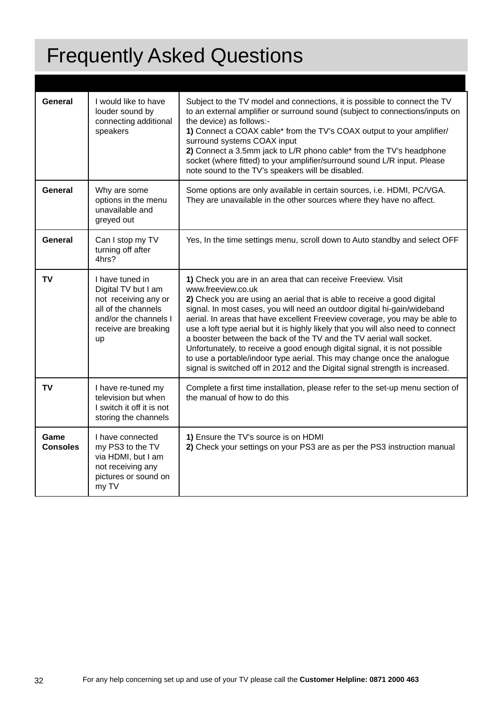# Frequently Asked Questions

| General                 | I would like to have<br>louder sound by<br>connecting additional<br>speakers                                                                 | Subject to the TV model and connections, it is possible to connect the TV<br>to an external amplifier or surround sound (subject to connections/inputs on<br>the device) as follows:-<br>1) Connect a COAX cable* from the TV's COAX output to your amplifier/<br>surround systems COAX input<br>2) Connect a 3.5mm jack to L/R phono cable* from the TV's headphone<br>socket (where fitted) to your amplifier/surround sound L/R input. Please<br>note sound to the TV's speakers will be disabled.                                                                                                                                                                                                                        |
|-------------------------|----------------------------------------------------------------------------------------------------------------------------------------------|------------------------------------------------------------------------------------------------------------------------------------------------------------------------------------------------------------------------------------------------------------------------------------------------------------------------------------------------------------------------------------------------------------------------------------------------------------------------------------------------------------------------------------------------------------------------------------------------------------------------------------------------------------------------------------------------------------------------------|
| General                 | Why are some<br>options in the menu<br>unavailable and<br>greyed out                                                                         | Some options are only available in certain sources, i.e. HDMI, PC/VGA.<br>They are unavailable in the other sources where they have no affect.                                                                                                                                                                                                                                                                                                                                                                                                                                                                                                                                                                               |
| General                 | Can I stop my TV<br>turning off after<br>4hrs?                                                                                               | Yes, In the time settings menu, scroll down to Auto standby and select OFF                                                                                                                                                                                                                                                                                                                                                                                                                                                                                                                                                                                                                                                   |
| TV                      | I have tuned in<br>Digital TV but I am<br>not receiving any or<br>all of the channels<br>and/or the channels I<br>receive are breaking<br>up | 1) Check you are in an area that can receive Freeview. Visit<br>www.freeview.co.uk<br>2) Check you are using an aerial that is able to receive a good digital<br>signal. In most cases, you will need an outdoor digital hi-gain/wideband<br>aerial. In areas that have excellent Freeview coverage, you may be able to<br>use a loft type aerial but it is highly likely that you will also need to connect<br>a booster between the back of the TV and the TV aerial wall socket.<br>Unfortunately, to receive a good enough digital signal, it is not possible<br>to use a portable/indoor type aerial. This may change once the analogue<br>signal is switched off in 2012 and the Digital signal strength is increased. |
| TV                      | I have re-tuned my<br>television but when<br>I switch it off it is not<br>storing the channels                                               | Complete a first time installation, please refer to the set-up menu section of<br>the manual of how to do this                                                                                                                                                                                                                                                                                                                                                                                                                                                                                                                                                                                                               |
| Game<br><b>Consoles</b> | I have connected<br>my PS3 to the TV<br>via HDMI, but I am<br>not receiving any<br>pictures or sound on<br>my TV                             | 1) Ensure the TV's source is on HDMI<br>2) Check your settings on your PS3 are as per the PS3 instruction manual                                                                                                                                                                                                                                                                                                                                                                                                                                                                                                                                                                                                             |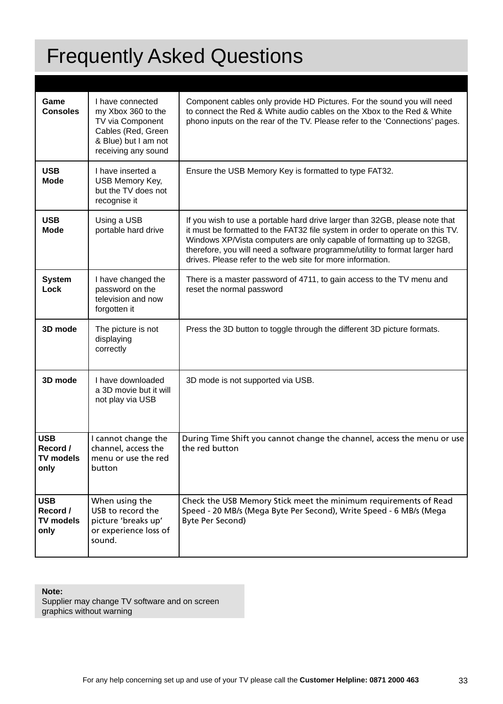## Frequently Asked Questions

| Game<br><b>Consoles</b>                            | I have connected<br>my Xbox 360 to the<br>TV via Component<br>Cables (Red, Green<br>& Blue) but I am not<br>receiving any sound | Component cables only provide HD Pictures. For the sound you will need<br>to connect the Red & White audio cables on the Xbox to the Red & White<br>phono inputs on the rear of the TV. Please refer to the 'Connections' pages.                                                                                                                                                   |
|----------------------------------------------------|---------------------------------------------------------------------------------------------------------------------------------|------------------------------------------------------------------------------------------------------------------------------------------------------------------------------------------------------------------------------------------------------------------------------------------------------------------------------------------------------------------------------------|
| <b>USB</b><br><b>Mode</b>                          | I have inserted a<br>USB Memory Key,<br>but the TV does not<br>recognise it                                                     | Ensure the USB Memory Key is formatted to type FAT32.                                                                                                                                                                                                                                                                                                                              |
| <b>USB</b><br><b>Mode</b>                          | Using a USB<br>portable hard drive                                                                                              | If you wish to use a portable hard drive larger than 32GB, please note that<br>it must be formatted to the FAT32 file system in order to operate on this TV.<br>Windows XP/Vista computers are only capable of formatting up to 32GB,<br>therefore, you will need a software programme/utility to format larger hard<br>drives. Please refer to the web site for more information. |
| <b>System</b><br>Lock                              | I have changed the<br>password on the<br>television and now<br>forgotten it                                                     | There is a master password of 4711, to gain access to the TV menu and<br>reset the normal password                                                                                                                                                                                                                                                                                 |
| 3D mode                                            | The picture is not<br>displaying<br>correctly                                                                                   | Press the 3D button to toggle through the different 3D picture formats.                                                                                                                                                                                                                                                                                                            |
| 3D mode                                            | I have downloaded<br>a 3D movie but it will<br>not play via USB                                                                 | 3D mode is not supported via USB.                                                                                                                                                                                                                                                                                                                                                  |
| <b>USB</b><br>Record /<br><b>TV models</b><br>only | I cannot change the<br>channel, access the<br>menu or use the red<br>button                                                     | During Time Shift you cannot change the channel, access the menu or use<br>the red button                                                                                                                                                                                                                                                                                          |
| <b>USB</b><br>Record /<br><b>TV models</b><br>only | When using the<br>USB to record the<br>picture 'breaks up'<br>or experience loss of<br>sound.                                   | Check the USB Memory Stick meet the minimum requirements of Read<br>Speed - 20 MB/s (Mega Byte Per Second), Write Speed - 6 MB/s (Mega<br>Byte Per Second)                                                                                                                                                                                                                         |

**Note:**

Supplier may change TV software and on screen graphics without warning